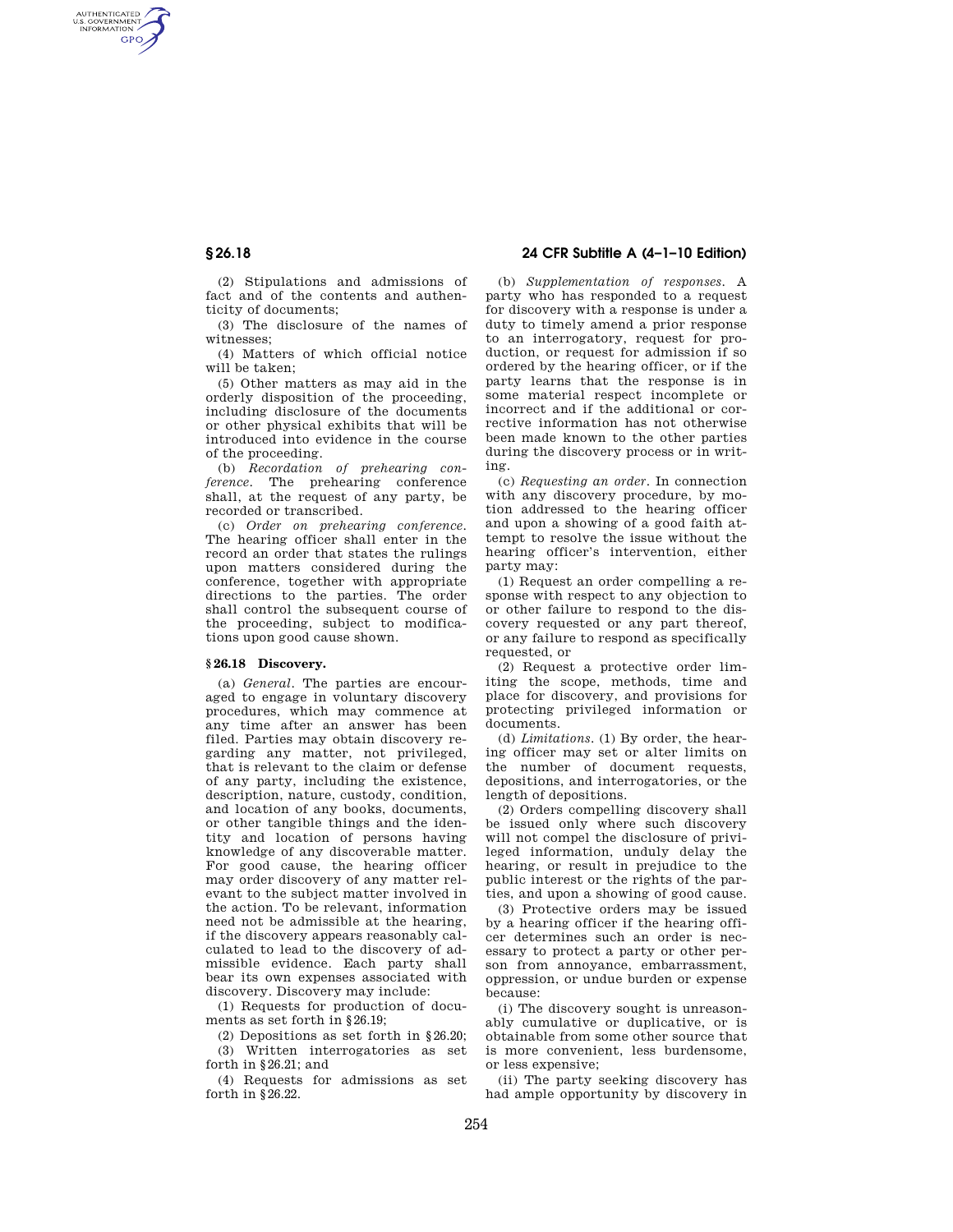AUTHENTICATED<br>U.S. GOVERNMENT<br>INFORMATION **GPO** 

> (2) Stipulations and admissions of fact and of the contents and authenticity of documents;

> (3) The disclosure of the names of witnesses;

> (4) Matters of which official notice will be taken;

(5) Other matters as may aid in the orderly disposition of the proceeding, including disclosure of the documents or other physical exhibits that will be introduced into evidence in the course of the proceeding.

(b) *Recordation of prehearing conference*. The prehearing conference shall, at the request of any party, be recorded or transcribed.

(c) *Order on prehearing conference*. The hearing officer shall enter in the record an order that states the rulings upon matters considered during the conference, together with appropriate directions to the parties. The order shall control the subsequent course of the proceeding, subject to modifications upon good cause shown.

# **§ 26.18 Discovery.**

(a) *General*. The parties are encouraged to engage in voluntary discovery procedures, which may commence at any time after an answer has been filed. Parties may obtain discovery regarding any matter, not privileged, that is relevant to the claim or defense of any party, including the existence, description, nature, custody, condition, and location of any books, documents, or other tangible things and the identity and location of persons having knowledge of any discoverable matter. For good cause, the hearing officer may order discovery of any matter relevant to the subject matter involved in the action. To be relevant, information need not be admissible at the hearing, if the discovery appears reasonably calculated to lead to the discovery of admissible evidence. Each party shall bear its own expenses associated with discovery. Discovery may include:

(1) Requests for production of documents as set forth in §26.19;

(2) Depositions as set forth in §26.20; (3) Written interrogatories as set forth in §26.21; and

(4) Requests for admissions as set forth in §26.22.

# **§ 26.18 24 CFR Subtitle A (4–1–10 Edition)**

(b) *Supplementation of responses*. A party who has responded to a request for discovery with a response is under a duty to timely amend a prior response to an interrogatory, request for production, or request for admission if so ordered by the hearing officer, or if the party learns that the response is in some material respect incomplete or incorrect and if the additional or corrective information has not otherwise been made known to the other parties during the discovery process or in writing.

(c) *Requesting an order*. In connection with any discovery procedure, by motion addressed to the hearing officer and upon a showing of a good faith attempt to resolve the issue without the hearing officer's intervention, either party may:

(1) Request an order compelling a response with respect to any objection to or other failure to respond to the discovery requested or any part thereof, or any failure to respond as specifically requested, or

(2) Request a protective order limiting the scope, methods, time and place for discovery, and provisions for protecting privileged information or documents.

(d) *Limitations*. (1) By order, the hearing officer may set or alter limits on the number of document requests, depositions, and interrogatories, or the length of depositions.

(2) Orders compelling discovery shall be issued only where such discovery will not compel the disclosure of privileged information, unduly delay the hearing, or result in prejudice to the public interest or the rights of the parties, and upon a showing of good cause.

(3) Protective orders may be issued by a hearing officer if the hearing officer determines such an order is necessary to protect a party or other person from annoyance, embarrassment, oppression, or undue burden or expense because:

(i) The discovery sought is unreasonably cumulative or duplicative, or is obtainable from some other source that is more convenient, less burdensome, or less expensive;

(ii) The party seeking discovery has had ample opportunity by discovery in